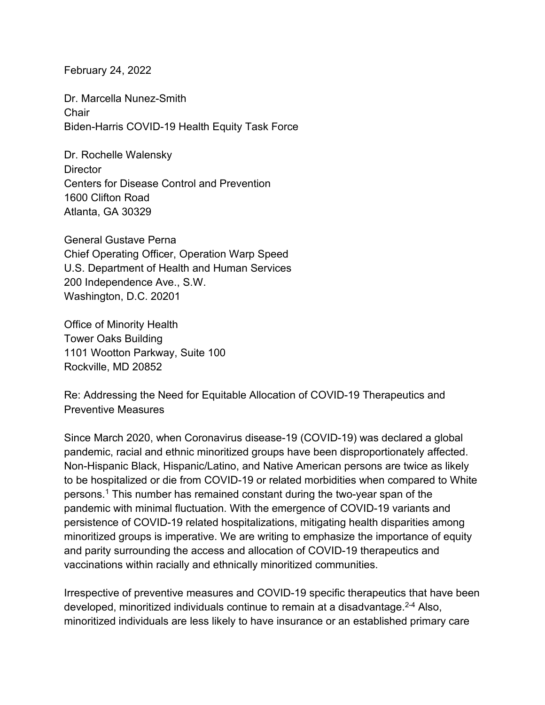February 24, 2022

Dr. Marcella Nunez-Smith **Chair** Biden-Harris COVID-19 Health Equity Task Force

Dr. Rochelle Walensky **Director** Centers for Disease Control and Prevention 1600 Clifton Road Atlanta, GA 30329

General Gustave Perna Chief Operating Officer, Operation Warp Speed U.S. Department of Health and Human Services 200 Independence Ave., S.W. Washington, D.C. 20201

Office of Minority Health Tower Oaks Building 1101 Wootton Parkway, Suite 100 Rockville, MD 20852

Re: Addressing the Need for Equitable Allocation of COVID-19 Therapeutics and Preventive Measures

Since March 2020, when Coronavirus disease-19 (COVID-19) was declared a global pandemic, racial and ethnic minoritized groups have been disproportionately affected. Non-Hispanic Black, Hispanic/Latino, and Native American persons are twice as likely to be hospitalized or die from COVID-19 or related morbidities when compared to White persons. <sup>1</sup> This number has remained constant during the two-year span of the pandemic with minimal fluctuation. With the emergence of COVID-19 variants and persistence of COVID-19 related hospitalizations, mitigating health disparities among minoritized groups is imperative. We are writing to emphasize the importance of equity and parity surrounding the access and allocation of COVID-19 therapeutics and vaccinations within racially and ethnically minoritized communities.

Irrespective of preventive measures and COVID-19 specific therapeutics that have been developed, minoritized individuals continue to remain at a disadvantage. 2-4 Also, minoritized individuals are less likely to have insurance or an established primary care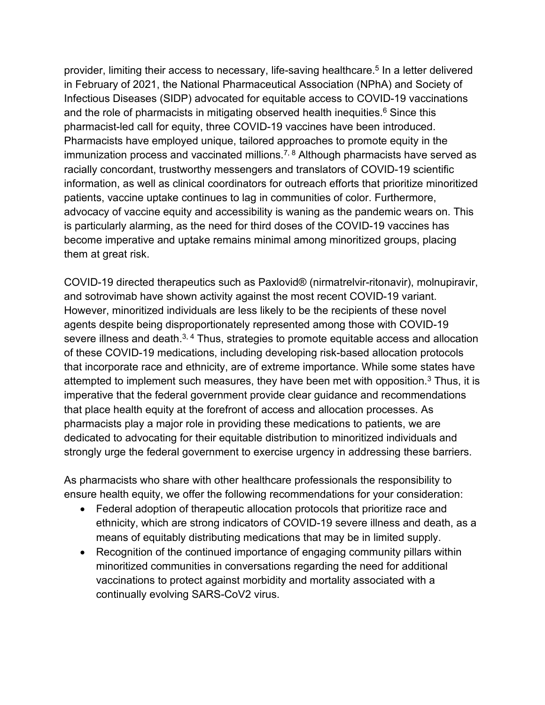provider, limiting their access to necessary, life-saving healthcare. <sup>5</sup> In a letter delivered in February of 2021, the National Pharmaceutical Association (NPhA) and Society of Infectious Diseases (SIDP) advocated for equitable access to COVID-19 vaccinations and the role of pharmacists in mitigating observed health inequities. <sup>6</sup> Since this pharmacist-led call for equity, three COVID-19 vaccines have been introduced. Pharmacists have employed unique, tailored approaches to promote equity in the immunization process and vaccinated millions. $^{7, 8}$  Although pharmacists have served as racially concordant, trustworthy messengers and translators of COVID-19 scientific information, as well as clinical coordinators for outreach efforts that prioritize minoritized patients, vaccine uptake continues to lag in communities of color. Furthermore, advocacy of vaccine equity and accessibility is waning as the pandemic wears on. This is particularly alarming, as the need for third doses of the COVID-19 vaccines has become imperative and uptake remains minimal among minoritized groups, placing them at great risk.

COVID-19 directed therapeutics such as Paxlovid® (nirmatrelvir-ritonavir), molnupiravir, and sotrovimab have shown activity against the most recent COVID-19 variant. However, minoritized individuals are less likely to be the recipients of these novel agents despite being disproportionately represented among those with COVID-19 severe illness and death.<sup>3, 4</sup> Thus, strategies to promote equitable access and allocation of these COVID-19 medications, including developing risk-based allocation protocols that incorporate race and ethnicity, are of extreme importance. While some states have attempted to implement such measures, they have been met with opposition.<sup>3</sup> Thus, it is imperative that the federal government provide clear guidance and recommendations that place health equity at the forefront of access and allocation processes. As pharmacists play a major role in providing these medications to patients, we are dedicated to advocating for their equitable distribution to minoritized individuals and strongly urge the federal government to exercise urgency in addressing these barriers.

As pharmacists who share with other healthcare professionals the responsibility to ensure health equity, we offer the following recommendations for your consideration:

- Federal adoption of therapeutic allocation protocols that prioritize race and ethnicity, which are strong indicators of COVID-19 severe illness and death, as a means of equitably distributing medications that may be in limited supply.
- Recognition of the continued importance of engaging community pillars within minoritized communities in conversations regarding the need for additional vaccinations to protect against morbidity and mortality associated with a continually evolving SARS-CoV2 virus.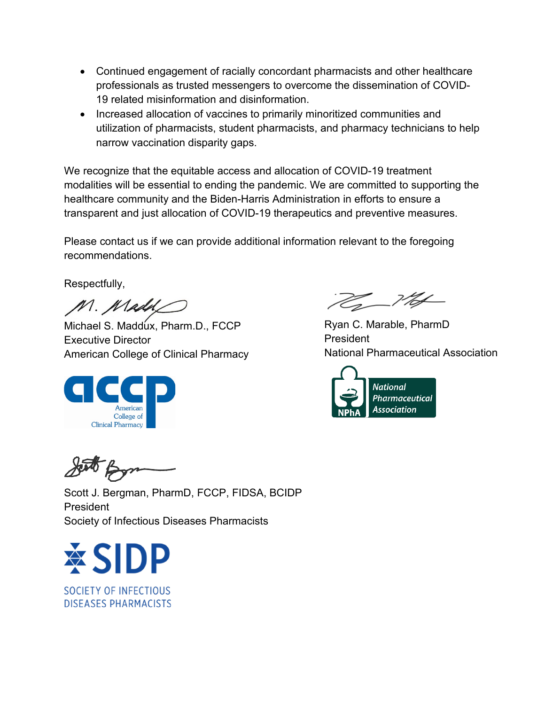- Continued engagement of racially concordant pharmacists and other healthcare professionals as trusted messengers to overcome the dissemination of COVID-19 related misinformation and disinformation.
- Increased allocation of vaccines to primarily minoritized communities and utilization of pharmacists, student pharmacists, and pharmacy technicians to help narrow vaccination disparity gaps.

We recognize that the equitable access and allocation of COVID-19 treatment modalities will be essential to ending the pandemic. We are committed to supporting the healthcare community and the Biden-Harris Administration in efforts to ensure a transparent and just allocation of COVID-19 therapeutics and preventive measures.

Please contact us if we can provide additional information relevant to the foregoing recommendations.

Respectfully,

M. Madd

Michael S. Maddux, Pharm.D., FCCP Executive Director American College of Clinical Pharmacy



<u> 22 - VIA</u>

Ryan C. Marable, PharmD President National Pharmaceutical Association



Scott J. Bergman, PharmD, FCCP, FIDSA, BCIDP President Society of Infectious Diseases Pharmacists



SOCIETY OF INFECTIOUS **DISEASES PHARMACISTS**